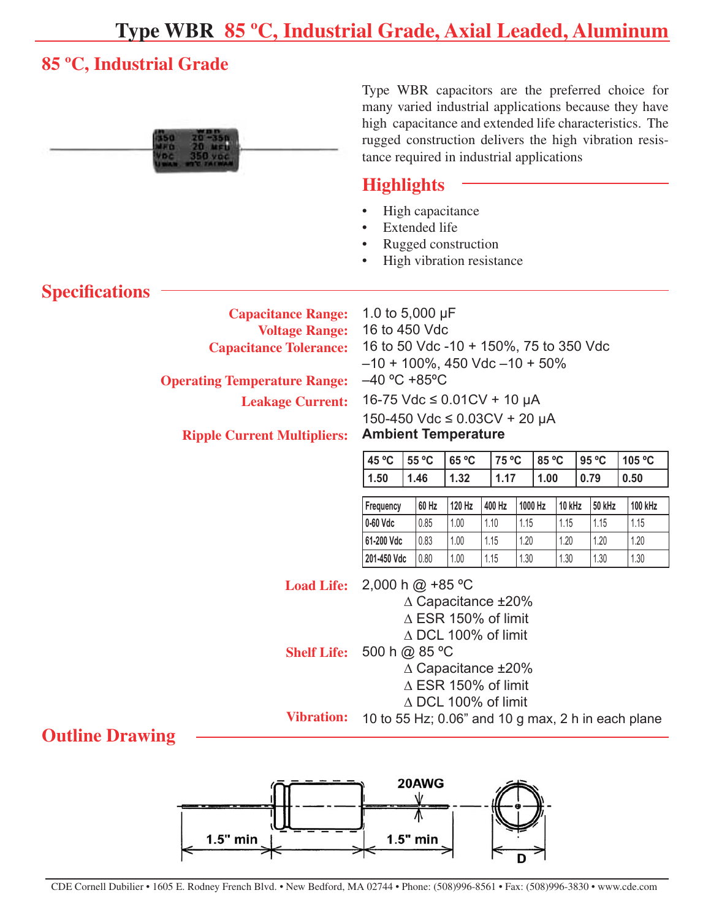## **Type WBR 85 ºC, Industrial Grade, Axial Leaded, Aluminum**

#### **85 ºC, Industrial Grade**



Type WBR capacitors are the preferred choice for many varied industrial applications because they have high capacitance and extended life characteristics. The rugged construction delivers the high vibration resistance required in industrial applications

#### **Highlights**

- High capacitance •
- Extended life •

1.0 to 5,000 µF 16 to 450 Vdc

- Rugged construction •
- High vibration resistance •

### **Specifications Capacitance Range: Voltage Range: Capacitance Tolerance: Operating Temperature Range:**

 $-40 °C + 85 °C$ 

**Leakage Current:** 

**Ripple Current Multipliers:**

| 16-75 Vdc ≤ 0.01 CV + 10 µA<br>150-450 Vdc ≤ 0.03CV + 20 µA<br><b>Ambient Temperature</b> |      |                                                 |      |        |       |                          |      |  |  |  |  |
|-------------------------------------------------------------------------------------------|------|-------------------------------------------------|------|--------|-------|--------------------------|------|--|--|--|--|
|                                                                                           |      | $ 45^{\circ}$ C $ 55^{\circ}$ C $ 65^{\circ}$ C |      | 175 °C | 85 °C | 95 ºC<br>105 $\degree$ C |      |  |  |  |  |
|                                                                                           | 1.50 | 1.46                                            | 1.32 | 1.17   | 1.00  | 0.79                     | 0.50 |  |  |  |  |

16 to 50 Vdc -10 + 150%, 75 to 350 Vdc

 $-10 + 100\%$ , 450 Vdc  $-10 + 50\%$ 

| Frequency   | 60 Hz | 120 Hz | 400 Hz | 1000 Hz | 10 kHz | 50 kHz | <b>100 kHz</b> |  |
|-------------|-------|--------|--------|---------|--------|--------|----------------|--|
| 0-60 Vdc    | 0.85  | 1.00   | 1.10   | 1.15    | 1.15   | 1.15   | 1.15           |  |
| 61-200 Vdc  | 0.83  | 1.00   | 1.15   | 1.20    | 1.20   | 1.20   | 1.20           |  |
| 201-450 Vdc | 0.80  | 1.00   | 1.15   | 1.30    | 1.30   | 1.30   | 1.30           |  |

10 to 55 Hz; 0.06" and 10 g max, 2 h in each plane

**Load Life:** 2,000 h @ +85 ºC

∆ Capacitance ±20% ∆ ESR 150% of limit ∆ DCL 100% of limit

**Shelf Life:** 500 h @ 85 ºC

∆ Capacitance ±20%

∆ ESR 150% of limit

∆ DCL 100% of limit

**Vibration:** 

#### **Outline Drawing**